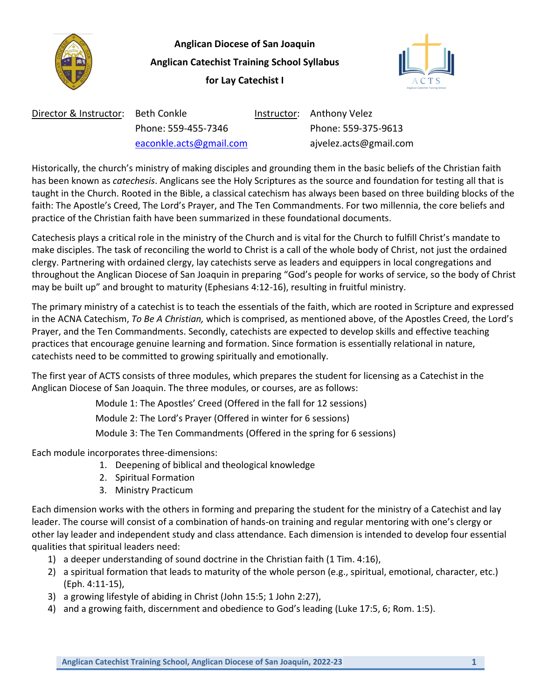

**Anglican Diocese of San Joaquin Anglican Catechist Training School Syllabus for Lay Catechist I**



| Director & Instructor: Beth Conkle |                         | Instructor: Anthony Velez |
|------------------------------------|-------------------------|---------------------------|
|                                    | Phone: 559-455-7346     | Phone: 559-375-9613       |
|                                    | eaconkle.acts@gmail.com | ajvelez.acts@gmail.com    |

Historically, the church's ministry of making disciples and grounding them in the basic beliefs of the Christian faith has been known as *catechesis*. Anglicans see the Holy Scriptures as the source and foundation for testing all that is taught in the Church. Rooted in the Bible, a classical catechism has always been based on three building blocks of the faith: The Apostle's Creed, The Lord's Prayer, and The Ten Commandments. For two millennia, the core beliefs and practice of the Christian faith have been summarized in these foundational documents.

Catechesis plays a critical role in the ministry of the Church and is vital for the Church to fulfill Christ's mandate to make disciples. The task of reconciling the world to Christ is a call of the whole body of Christ, not just the ordained clergy. Partnering with ordained clergy, lay catechists serve as leaders and equippers in local congregations and throughout the Anglican Diocese of San Joaquin in preparing "God's people for works of service, so the body of Christ may be built up" and brought to maturity (Ephesians 4:12-16), resulting in fruitful ministry.

The primary ministry of a catechist is to teach the essentials of the faith, which are rooted in Scripture and expressed in the ACNA Catechism, *To Be A Christian,* which is comprised, as mentioned above, of the Apostles Creed, the Lord's Prayer, and the Ten Commandments. Secondly, catechists are expected to develop skills and effective teaching practices that encourage genuine learning and formation. Since formation is essentially relational in nature, catechists need to be committed to growing spiritually and emotionally.

The first year of ACTS consists of three modules, which prepares the student for licensing as a Catechist in the Anglican Diocese of San Joaquin. The three modules, or courses, are as follows:

Module 1: The Apostles' Creed (Offered in the fall for 12 sessions)

Module 2: The Lord's Prayer (Offered in winter for 6 sessions)

Module 3: The Ten Commandments (Offered in the spring for 6 sessions)

Each module incorporates three-dimensions:

- 1. Deepening of biblical and theological knowledge
- 2. Spiritual Formation
- 3. Ministry Practicum

Each dimension works with the others in forming and preparing the student for the ministry of a Catechist and lay leader. The course will consist of a combination of hands-on training and regular mentoring with one's clergy or other lay leader and independent study and class attendance. Each dimension is intended to develop four essential qualities that spiritual leaders need:

- 1) a deeper understanding of sound doctrine in the Christian faith (1 Tim. 4:16),
- 2) a spiritual formation that leads to maturity of the whole person (e.g., spiritual, emotional, character, etc.) (Eph. 4:11-15),
- 3) a growing lifestyle of abiding in Christ (John 15:5; 1 John 2:27),
- 4) and a growing faith, discernment and obedience to God's leading (Luke 17:5, 6; Rom. 1:5).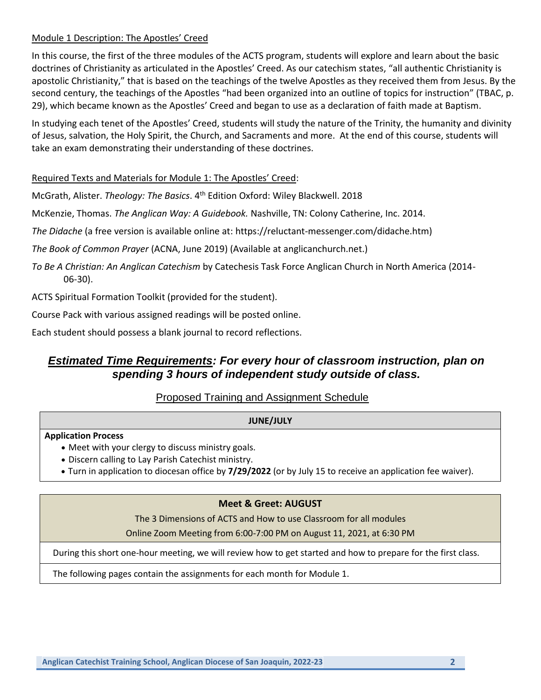## Module 1 Description: The Apostles' Creed

In this course, the first of the three modules of the ACTS program, students will explore and learn about the basic doctrines of Christianity as articulated in the Apostles' Creed. As our catechism states, "all authentic Christianity is apostolic Christianity," that is based on the teachings of the twelve Apostles as they received them from Jesus. By the second century, the teachings of the Apostles "had been organized into an outline of topics for instruction" (TBAC, p. 29), which became known as the Apostles' Creed and began to use as a declaration of faith made at Baptism.

In studying each tenet of the Apostles' Creed, students will study the nature of the Trinity, the humanity and divinity of Jesus, salvation, the Holy Spirit, the Church, and Sacraments and more. At the end of this course, students will take an exam demonstrating their understanding of these doctrines.

#### Required Texts and Materials for Module 1: The Apostles' Creed:

McGrath, Alister. Theology: The Basics. 4<sup>th</sup> Edition Oxford: Wiley Blackwell. 2018

McKenzie, Thomas. *The Anglican Way: A Guidebook.* Nashville, TN: Colony Catherine, Inc. 2014.

*The Didache* (a free version is available online at: https://reluctant-messenger.com/didache.htm)

*The Book of Common Prayer* (ACNA, June 2019) (Available at anglicanchurch.net.)

*To Be A Christian: An Anglican Catechism* by Catechesis Task Force Anglican Church in North America (2014- 06-30).

ACTS Spiritual Formation Toolkit (provided for the student).

Course Pack with various assigned readings will be posted online.

Each student should possess a blank journal to record reflections.

# *Estimated Time Requirements: For every hour of classroom instruction, plan on spending 3 hours of independent study outside of class.*

# Proposed Training and Assignment Schedule

#### **JUNE/JULY**

#### **Application Process**

- Meet with your clergy to discuss ministry goals.
- Discern calling to Lay Parish Catechist ministry.
- Turn in application to diocesan office by **7/29/2022** (or by July 15 to receive an application fee waiver).

## **Meet & Greet: AUGUST**

The 3 Dimensions of ACTS and How to use Classroom for all modules

Online Zoom Meeting from 6:00-7:00 PM on August 11, 2021, at 6:30 PM

During this short one-hour meeting, we will review how to get started and how to prepare for the first class.

The following pages contain the assignments for each month for Module 1.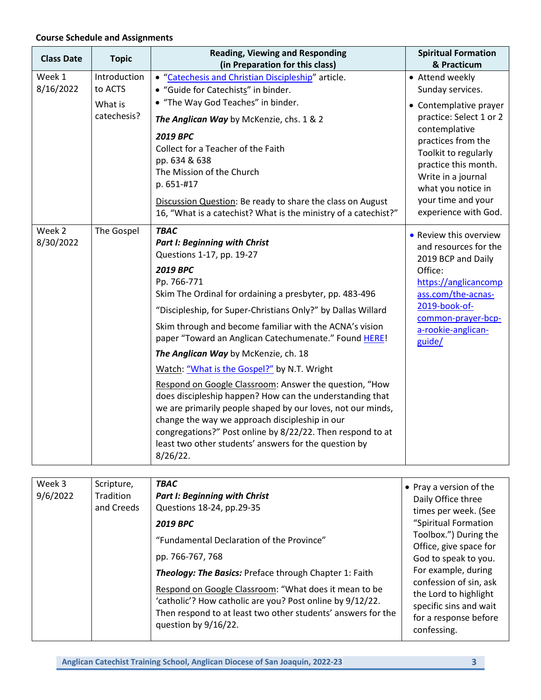# **Course Schedule and Assignments**

| <b>Class Date</b>   | <b>Topic</b>                      | <b>Reading, Viewing and Responding</b>                                                                                                                                                                                                                                                                                                                                                                                                                                                                                                                                                                                                                                                                                                                                                                                         | <b>Spiritual Formation</b><br>& Practicum                                                                                                                                                                                                                                 |
|---------------------|-----------------------------------|--------------------------------------------------------------------------------------------------------------------------------------------------------------------------------------------------------------------------------------------------------------------------------------------------------------------------------------------------------------------------------------------------------------------------------------------------------------------------------------------------------------------------------------------------------------------------------------------------------------------------------------------------------------------------------------------------------------------------------------------------------------------------------------------------------------------------------|---------------------------------------------------------------------------------------------------------------------------------------------------------------------------------------------------------------------------------------------------------------------------|
| Week 1              | Introduction                      | (in Preparation for this class)                                                                                                                                                                                                                                                                                                                                                                                                                                                                                                                                                                                                                                                                                                                                                                                                |                                                                                                                                                                                                                                                                           |
| 8/16/2022           | to ACTS<br>What is<br>catechesis? | • "Catechesis and Christian Discipleship" article.<br>• "Guide for Catechists" in binder.<br>• "The Way God Teaches" in binder.<br>The Anglican Way by McKenzie, chs. 1 & 2<br>2019 BPC<br>Collect for a Teacher of the Faith<br>pp. 634 & 638<br>The Mission of the Church<br>p. 651-#17<br>Discussion Question: Be ready to share the class on August<br>16, "What is a catechist? What is the ministry of a catechist?"                                                                                                                                                                                                                                                                                                                                                                                                     | • Attend weekly<br>Sunday services.<br>• Contemplative prayer<br>practice: Select 1 or 2<br>contemplative<br>practices from the<br>Toolkit to regularly<br>practice this month.<br>Write in a journal<br>what you notice in<br>your time and your<br>experience with God. |
| Week 2<br>8/30/2022 | The Gospel                        | <b>TBAC</b><br><b>Part I: Beginning with Christ</b><br>Questions 1-17, pp. 19-27<br>2019 BPC<br>Pp. 766-771<br>Skim The Ordinal for ordaining a presbyter, pp. 483-496<br>"Discipleship, for Super-Christians Only?" by Dallas Willard<br>Skim through and become familiar with the ACNA's vision<br>paper "Toward an Anglican Catechumenate." Found HERE!<br>The Anglican Way by McKenzie, ch. 18<br>Watch: "What is the Gospel?" by N.T. Wright<br>Respond on Google Classroom: Answer the question, "How<br>does discipleship happen? How can the understanding that<br>we are primarily people shaped by our loves, not our minds,<br>change the way we approach discipleship in our<br>congregations?" Post online by 8/22/22. Then respond to at<br>least two other students' answers for the question by<br>$8/26/22$ . | • Review this overview<br>and resources for the<br>2019 BCP and Daily<br>Office:<br>https://anglicancomp<br>ass.com/the-acnas-<br>2019-book-of-<br>common-prayer-bcp-<br>a-rookie-anglican-<br>guide/                                                                     |

| Week 3   | Scripture, | <b>TBAC</b>                                                                                                                                                                                                | • Pray a version of the                                                                                           |
|----------|------------|------------------------------------------------------------------------------------------------------------------------------------------------------------------------------------------------------------|-------------------------------------------------------------------------------------------------------------------|
| 9/6/2022 | Tradition  | <b>Part I: Beginning with Christ</b>                                                                                                                                                                       | Daily Office three                                                                                                |
|          | and Creeds | Questions 18-24, pp.29-35                                                                                                                                                                                  | times per week. (See                                                                                              |
|          |            | <b>2019 BPC</b>                                                                                                                                                                                            | "Spiritual Formation                                                                                              |
|          |            | "Fundamental Declaration of the Province"                                                                                                                                                                  | Toolbox.") During the                                                                                             |
|          |            |                                                                                                                                                                                                            | Office, give space for                                                                                            |
|          |            | pp. 766-767, 768                                                                                                                                                                                           | God to speak to you.                                                                                              |
|          |            | <b>Theology: The Basics: Preface through Chapter 1: Faith</b>                                                                                                                                              | For example, during                                                                                               |
|          |            | Respond on Google Classroom: "What does it mean to be<br>'catholic'? How catholic are you? Post online by 9/12/22.<br>Then respond to at least two other students' answers for the<br>question by 9/16/22. | confession of sin, ask<br>the Lord to highlight<br>specific sins and wait<br>for a response before<br>confessing. |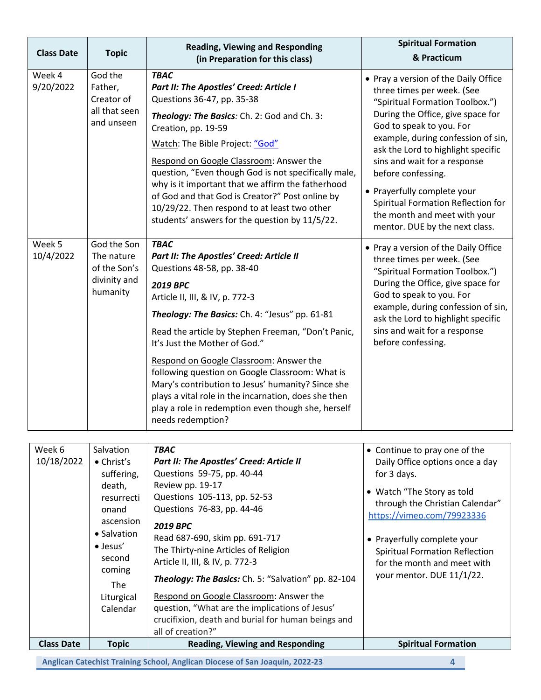| <b>Class Date</b>    | <b>Topic</b>                                                                                                                                                                        | <b>Reading, Viewing and Responding</b><br>(in Preparation for this class)                                                                                                                                                                                                                                                                                                                                                                                                                                                                                                  | <b>Spiritual Formation</b><br>& Practicum                                                                                                                                                                                                                                                                                                                                                                                                       |  |
|----------------------|-------------------------------------------------------------------------------------------------------------------------------------------------------------------------------------|----------------------------------------------------------------------------------------------------------------------------------------------------------------------------------------------------------------------------------------------------------------------------------------------------------------------------------------------------------------------------------------------------------------------------------------------------------------------------------------------------------------------------------------------------------------------------|-------------------------------------------------------------------------------------------------------------------------------------------------------------------------------------------------------------------------------------------------------------------------------------------------------------------------------------------------------------------------------------------------------------------------------------------------|--|
| Week 4<br>9/20/2022  | God the<br>Father,<br>Creator of<br>all that seen<br>and unseen                                                                                                                     | <b>TBAC</b><br>Part II: The Apostles' Creed: Article I<br>Questions 36-47, pp. 35-38<br>Theology: The Basics: Ch. 2: God and Ch. 3:<br>Creation, pp. 19-59<br>Watch: The Bible Project: "God"<br>Respond on Google Classroom: Answer the<br>question, "Even though God is not specifically male,<br>why is it important that we affirm the fatherhood<br>of God and that God is Creator?" Post online by<br>10/29/22. Then respond to at least two other<br>students' answers for the question by 11/5/22.                                                                 | • Pray a version of the Daily Office<br>three times per week. (See<br>"Spiritual Formation Toolbox.")<br>During the Office, give space for<br>God to speak to you. For<br>example, during confession of sin,<br>ask the Lord to highlight specific<br>sins and wait for a response<br>before confessing.<br>• Prayerfully complete your<br>Spiritual Formation Reflection for<br>the month and meet with your<br>mentor. DUE by the next class. |  |
| Week 5<br>10/4/2022  | God the Son<br>The nature<br>of the Son's<br>divinity and<br>humanity                                                                                                               | <b>TBAC</b><br>Part II: The Apostles' Creed: Article II<br>Questions 48-58, pp. 38-40<br><b>2019 BPC</b><br>Article II, III, & IV, p. 772-3<br>Theology: The Basics: Ch. 4: "Jesus" pp. 61-81<br>Read the article by Stephen Freeman, "Don't Panic,<br>It's Just the Mother of God."<br>Respond on Google Classroom: Answer the<br>following question on Google Classroom: What is<br>Mary's contribution to Jesus' humanity? Since she<br>plays a vital role in the incarnation, does she then<br>play a role in redemption even though she, herself<br>needs redemption? | • Pray a version of the Daily Office<br>three times per week. (See<br>"Spiritual Formation Toolbox.")<br>During the Office, give space for<br>God to speak to you. For<br>example, during confession of sin,<br>ask the Lord to highlight specific<br>sins and wait for a response<br>before confessing.                                                                                                                                        |  |
| Week 6<br>10/18/2022 | Salvation<br>$\bullet$ Christ's<br>suffering,<br>death,<br>resurrecti<br>onand<br>ascension<br>• Salvation<br>$\bullet$ Jesus'<br>second<br>coming<br>The<br>Liturgical<br>Calendar | <b>TBAC</b><br>Part II: The Apostles' Creed: Article II<br>Questions 59-75, pp. 40-44<br>Review pp. 19-17<br>Questions 105-113, pp. 52-53<br>Questions 76-83, pp. 44-46<br>2019 BPC<br>Read 687-690, skim pp. 691-717<br>The Thirty-nine Articles of Religion<br>Article II, III, & IV, p. 772-3<br>Theology: The Basics: Ch. 5: "Salvation" pp. 82-104<br>Respond on Google Classroom: Answer the<br>question, "What are the implications of Jesus'<br>crucifixion, death and burial for human beings and<br>all of creation?"                                            | • Continue to pray one of the<br>Daily Office options once a day<br>for 3 days.<br>• Watch "The Story as told<br>through the Christian Calendar"<br>https://vimeo.com/79923336<br>• Prayerfully complete your<br><b>Spiritual Formation Reflection</b><br>for the month and meet with<br>your mentor. DUE 11/1/22.                                                                                                                              |  |
| <b>Class Date</b>    | <b>Topic</b>                                                                                                                                                                        | <b>Reading, Viewing and Responding</b>                                                                                                                                                                                                                                                                                                                                                                                                                                                                                                                                     | <b>Spiritual Formation</b>                                                                                                                                                                                                                                                                                                                                                                                                                      |  |
|                      | Anglican Catechist Training School, Anglican Diocese of San Joaquin, 2022-23<br>4                                                                                                   |                                                                                                                                                                                                                                                                                                                                                                                                                                                                                                                                                                            |                                                                                                                                                                                                                                                                                                                                                                                                                                                 |  |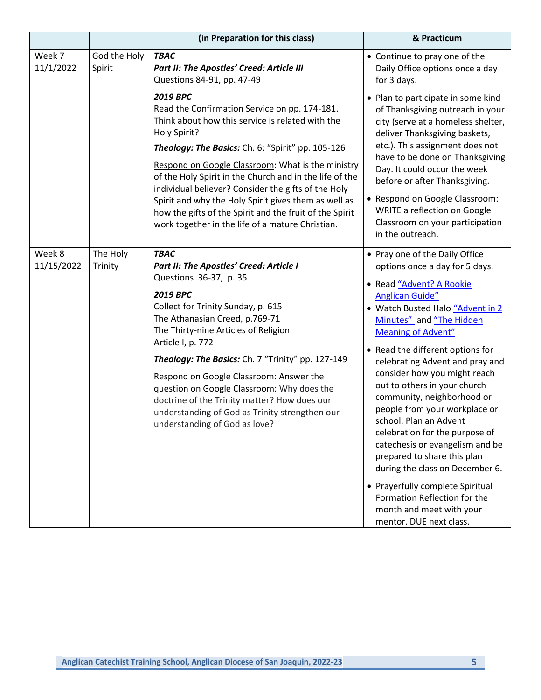|                      |                        | (in Preparation for this class)                                                                                                                                                                                                                                                                                                                                                                                                                                                                                                         | & Practicum                                                                                                                                                                                                                                                                                                                                                                                                                                                                                                                                                                                                                                                                                                    |
|----------------------|------------------------|-----------------------------------------------------------------------------------------------------------------------------------------------------------------------------------------------------------------------------------------------------------------------------------------------------------------------------------------------------------------------------------------------------------------------------------------------------------------------------------------------------------------------------------------|----------------------------------------------------------------------------------------------------------------------------------------------------------------------------------------------------------------------------------------------------------------------------------------------------------------------------------------------------------------------------------------------------------------------------------------------------------------------------------------------------------------------------------------------------------------------------------------------------------------------------------------------------------------------------------------------------------------|
| Week 7<br>11/1/2022  | God the Holy<br>Spirit | <b>TBAC</b><br>Part II: The Apostles' Creed: Article III<br>Questions 84-91, pp. 47-49                                                                                                                                                                                                                                                                                                                                                                                                                                                  | • Continue to pray one of the<br>Daily Office options once a day<br>for 3 days.                                                                                                                                                                                                                                                                                                                                                                                                                                                                                                                                                                                                                                |
|                      |                        | <b>2019 BPC</b><br>Read the Confirmation Service on pp. 174-181.<br>Think about how this service is related with the<br>Holy Spirit?<br>Theology: The Basics: Ch. 6: "Spirit" pp. 105-126<br>Respond on Google Classroom: What is the ministry<br>of the Holy Spirit in the Church and in the life of the<br>individual believer? Consider the gifts of the Holy<br>Spirit and why the Holy Spirit gives them as well as<br>how the gifts of the Spirit and the fruit of the Spirit<br>work together in the life of a mature Christian. | • Plan to participate in some kind<br>of Thanksgiving outreach in your<br>city (serve at a homeless shelter,<br>deliver Thanksgiving baskets,<br>etc.). This assignment does not<br>have to be done on Thanksgiving<br>Day. It could occur the week<br>before or after Thanksgiving.<br>• Respond on Google Classroom:<br><b>WRITE a reflection on Google</b><br>Classroom on your participation<br>in the outreach.                                                                                                                                                                                                                                                                                           |
| Week 8<br>11/15/2022 | The Holy<br>Trinity    | <b>TBAC</b><br>Part II: The Apostles' Creed: Article I<br>Questions 36-37, p. 35<br><b>2019 BPC</b><br>Collect for Trinity Sunday, p. 615<br>The Athanasian Creed, p.769-71<br>The Thirty-nine Articles of Religion<br>Article I, p. 772<br>Theology: The Basics: Ch. 7 "Trinity" pp. 127-149<br>Respond on Google Classroom: Answer the<br>question on Google Classroom: Why does the<br>doctrine of the Trinity matter? How does our<br>understanding of God as Trinity strengthen our<br>understanding of God as love?               | • Pray one of the Daily Office<br>options once a day for 5 days.<br>• Read "Advent? A Rookie<br>Anglican Guide"<br>• Watch Busted Halo "Advent in 2<br>Minutes" and "The Hidden<br><b>Meaning of Advent"</b><br>• Read the different options for<br>celebrating Advent and pray and<br>consider how you might reach<br>out to others in your church<br>community, neighborhood or<br>people from your workplace or<br>school. Plan an Advent<br>celebration for the purpose of<br>catechesis or evangelism and be<br>prepared to share this plan<br>during the class on December 6.<br>• Prayerfully complete Spiritual<br>Formation Reflection for the<br>month and meet with your<br>mentor. DUE next class. |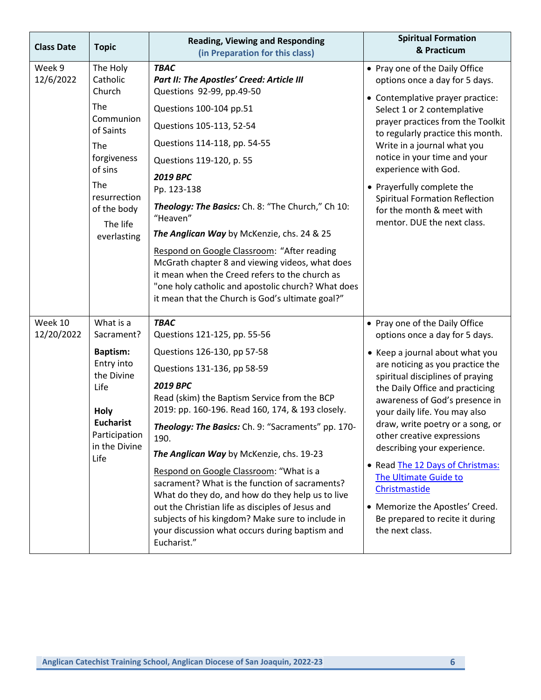| <b>Class Date</b>     | <b>Topic</b>                                                                                                                                                      | <b>Reading, Viewing and Responding</b><br>(in Preparation for this class)                                                                                                                                                                                                                                                                                                                                                                                                                                                                                                                                                                                            | <b>Spiritual Formation</b><br>& Practicum                                                                                                                                                                                                                                                                                                                                                                                                                                                                                                                 |
|-----------------------|-------------------------------------------------------------------------------------------------------------------------------------------------------------------|----------------------------------------------------------------------------------------------------------------------------------------------------------------------------------------------------------------------------------------------------------------------------------------------------------------------------------------------------------------------------------------------------------------------------------------------------------------------------------------------------------------------------------------------------------------------------------------------------------------------------------------------------------------------|-----------------------------------------------------------------------------------------------------------------------------------------------------------------------------------------------------------------------------------------------------------------------------------------------------------------------------------------------------------------------------------------------------------------------------------------------------------------------------------------------------------------------------------------------------------|
| Week 9<br>12/6/2022   | The Holy<br>Catholic<br>Church<br>The<br>Communion<br>of Saints<br>The<br>forgiveness<br>of sins<br>The<br>resurrection<br>of the body<br>The life<br>everlasting | <b>TBAC</b><br>Part II: The Apostles' Creed: Article III<br>Questions 92-99, pp.49-50<br>Questions 100-104 pp.51<br>Questions 105-113, 52-54<br>Questions 114-118, pp. 54-55<br>Questions 119-120, p. 55<br><b>2019 BPC</b><br>Pp. 123-138<br>Theology: The Basics: Ch. 8: "The Church," Ch 10:<br>"Heaven"<br>The Anglican Way by McKenzie, chs. 24 & 25<br>Respond on Google Classroom: "After reading<br>McGrath chapter 8 and viewing videos, what does<br>it mean when the Creed refers to the church as<br>"one holy catholic and apostolic church? What does<br>it mean that the Church is God's ultimate goal?"                                              | • Pray one of the Daily Office<br>options once a day for 5 days.<br>• Contemplative prayer practice:<br>Select 1 or 2 contemplative<br>prayer practices from the Toolkit<br>to regularly practice this month.<br>Write in a journal what you<br>notice in your time and your<br>experience with God.<br>• Prayerfully complete the<br><b>Spiritual Formation Reflection</b><br>for the month & meet with<br>mentor. DUE the next class.                                                                                                                   |
| Week 10<br>12/20/2022 | What is a<br>Sacrament?<br><b>Baptism:</b><br>Entry into<br>the Divine<br>Life<br>Holy<br><b>Eucharist</b><br>Participation<br>in the Divine<br>Life              | <b>TBAC</b><br>Questions 121-125, pp. 55-56<br>Questions 126-130, pp 57-58<br>Questions 131-136, pp 58-59<br><b>2019 BPC</b><br>Read (skim) the Baptism Service from the BCP<br>2019: pp. 160-196. Read 160, 174, & 193 closely.<br>Theology: The Basics: Ch. 9: "Sacraments" pp. 170-<br>190.<br>The Anglican Way by McKenzie, chs. 19-23<br>Respond on Google Classroom: "What is a<br>sacrament? What is the function of sacraments?<br>What do they do, and how do they help us to live<br>out the Christian life as disciples of Jesus and<br>subjects of his kingdom? Make sure to include in<br>your discussion what occurs during baptism and<br>Eucharist." | • Pray one of the Daily Office<br>options once a day for 5 days.<br>• Keep a journal about what you<br>are noticing as you practice the<br>spiritual disciplines of praying<br>the Daily Office and practicing<br>awareness of God's presence in<br>your daily life. You may also<br>draw, write poetry or a song, or<br>other creative expressions<br>describing your experience.<br>• Read The 12 Days of Christmas:<br>The Ultimate Guide to<br>Christmastide<br>• Memorize the Apostles' Creed.<br>Be prepared to recite it during<br>the next class. |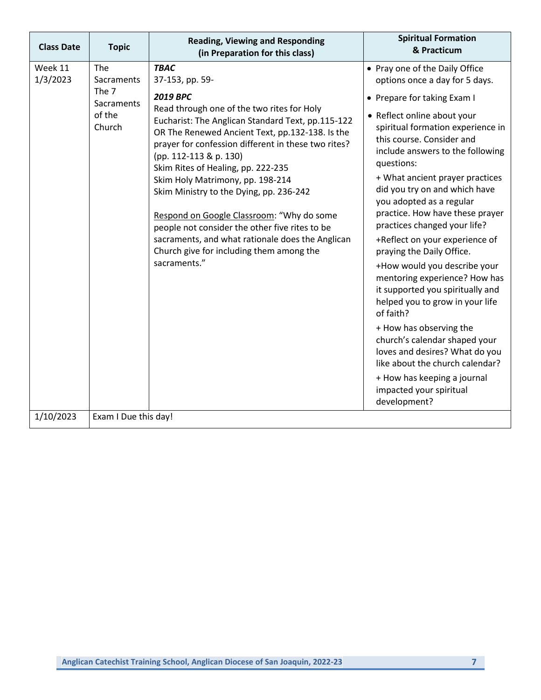| <b>Class Date</b> | <b>Topic</b>                            | <b>Reading, Viewing and Responding</b><br>(in Preparation for this class)                                                                                                                                                                                                                                                                                                                                                                                                                                                                                                                  | <b>Spiritual Formation</b><br>& Practicum                                                                                                                                                                                                                                                                                                                                                                                                                                                                                                                                                                                                                                                                                             |
|-------------------|-----------------------------------------|--------------------------------------------------------------------------------------------------------------------------------------------------------------------------------------------------------------------------------------------------------------------------------------------------------------------------------------------------------------------------------------------------------------------------------------------------------------------------------------------------------------------------------------------------------------------------------------------|---------------------------------------------------------------------------------------------------------------------------------------------------------------------------------------------------------------------------------------------------------------------------------------------------------------------------------------------------------------------------------------------------------------------------------------------------------------------------------------------------------------------------------------------------------------------------------------------------------------------------------------------------------------------------------------------------------------------------------------|
| Week 11           | The                                     | <b>TBAC</b>                                                                                                                                                                                                                                                                                                                                                                                                                                                                                                                                                                                | • Pray one of the Daily Office                                                                                                                                                                                                                                                                                                                                                                                                                                                                                                                                                                                                                                                                                                        |
| 1/3/2023          | Sacraments                              | 37-153, pp. 59-                                                                                                                                                                                                                                                                                                                                                                                                                                                                                                                                                                            | options once a day for 5 days.                                                                                                                                                                                                                                                                                                                                                                                                                                                                                                                                                                                                                                                                                                        |
|                   | The 7<br>Sacraments<br>of the<br>Church | <b>2019 BPC</b><br>Read through one of the two rites for Holy<br>Eucharist: The Anglican Standard Text, pp.115-122<br>OR The Renewed Ancient Text, pp.132-138. Is the<br>prayer for confession different in these two rites?<br>(pp. 112-113 & p. 130)<br>Skim Rites of Healing, pp. 222-235<br>Skim Holy Matrimony, pp. 198-214<br>Skim Ministry to the Dying, pp. 236-242<br>Respond on Google Classroom: "Why do some<br>people not consider the other five rites to be<br>sacraments, and what rationale does the Anglican<br>Church give for including them among the<br>sacraments." | • Prepare for taking Exam I<br>• Reflect online about your<br>spiritual formation experience in<br>this course. Consider and<br>include answers to the following<br>questions:<br>+ What ancient prayer practices<br>did you try on and which have<br>you adopted as a regular<br>practice. How have these prayer<br>practices changed your life?<br>+Reflect on your experience of<br>praying the Daily Office.<br>+How would you describe your<br>mentoring experience? How has<br>it supported you spiritually and<br>helped you to grow in your life<br>of faith?<br>+ How has observing the<br>church's calendar shaped your<br>loves and desires? What do you<br>like about the church calendar?<br>+ How has keeping a journal |
|                   |                                         |                                                                                                                                                                                                                                                                                                                                                                                                                                                                                                                                                                                            | impacted your spiritual<br>development?                                                                                                                                                                                                                                                                                                                                                                                                                                                                                                                                                                                                                                                                                               |
| 1/10/2023         | Exam I Due this day!                    |                                                                                                                                                                                                                                                                                                                                                                                                                                                                                                                                                                                            |                                                                                                                                                                                                                                                                                                                                                                                                                                                                                                                                                                                                                                                                                                                                       |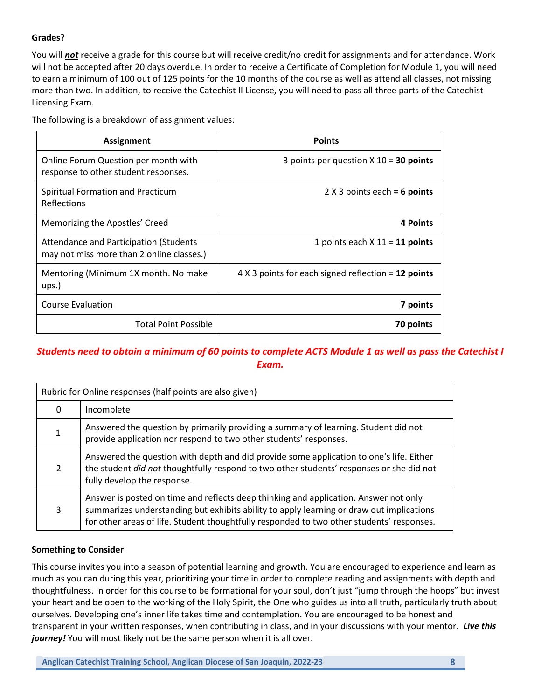## **Grades?**

You will *not* receive a grade for this course but will receive credit/no credit for assignments and for attendance. Work will not be accepted after 20 days overdue. In order to receive a Certificate of Completion for Module 1, you will need to earn a minimum of 100 out of 125 points for the 10 months of the course as well as attend all classes, not missing more than two. In addition, to receive the Catechist II License, you will need to pass all three parts of the Catechist Licensing Exam.

The following is a breakdown of assignment values:

| <b>Assignment</b>                                                                   | <b>Points</b>                                       |
|-------------------------------------------------------------------------------------|-----------------------------------------------------|
| Online Forum Question per month with<br>response to other student responses.        | 3 points per question $X$ 10 = 30 points            |
| Spiritual Formation and Practicum<br>Reflections                                    | $2 X 3$ points each = 6 points                      |
| Memorizing the Apostles' Creed                                                      | 4 Points                                            |
| Attendance and Participation (Students<br>may not miss more than 2 online classes.) | 1 points each $X$ 11 = 11 points                    |
| Mentoring (Minimum 1X month. No make<br>ups.)                                       | 4 X 3 points for each signed reflection = 12 points |
| <b>Course Evaluation</b>                                                            | 7 points                                            |
| <b>Total Point Possible</b>                                                         | 70 points                                           |

# *Students need to obtain a minimum of 60 points to complete ACTS Module 1 as well as pass the Catechist I Exam.*

| Rubric for Online responses (half points are also given) |                                                                                                                                                                                                                                                                               |  |
|----------------------------------------------------------|-------------------------------------------------------------------------------------------------------------------------------------------------------------------------------------------------------------------------------------------------------------------------------|--|
| 0                                                        | Incomplete                                                                                                                                                                                                                                                                    |  |
|                                                          | Answered the question by primarily providing a summary of learning. Student did not<br>provide application nor respond to two other students' responses.                                                                                                                      |  |
| 2                                                        | Answered the question with depth and did provide some application to one's life. Either<br>the student did not thoughtfully respond to two other students' responses or she did not<br>fully develop the response.                                                            |  |
| 3                                                        | Answer is posted on time and reflects deep thinking and application. Answer not only<br>summarizes understanding but exhibits ability to apply learning or draw out implications<br>for other areas of life. Student thoughtfully responded to two other students' responses. |  |

#### **Something to Consider**

This course invites you into a season of potential learning and growth. You are encouraged to experience and learn as much as you can during this year, prioritizing your time in order to complete reading and assignments with depth and thoughtfulness. In order for this course to be formational for your soul, don't just "jump through the hoops" but invest your heart and be open to the working of the Holy Spirit, the One who guides us into all truth, particularly truth about ourselves. Developing one's inner life takes time and contemplation. You are encouraged to be honest and transparent in your written responses, when contributing in class, and in your discussions with your mentor. *Live this journey!* You will most likely not be the same person when it is all over.

**Anglican Catechist Training School, Anglican Diocese of San Joaquin, 2022-23 8**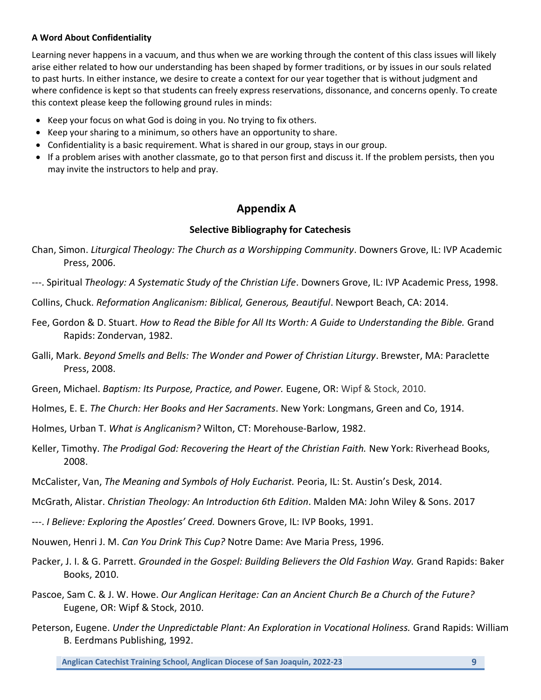#### **A Word About Confidentiality**

Learning never happens in a vacuum, and thus when we are working through the content of this class issues will likely arise either related to how our understanding has been shaped by former traditions, or by issues in our souls related to past hurts. In either instance, we desire to create a context for our year together that is without judgment and where confidence is kept so that students can freely express reservations, dissonance, and concerns openly. To create this context please keep the following ground rules in minds:

- Keep your focus on what God is doing in you. No trying to fix others.
- Keep your sharing to a minimum, so others have an opportunity to share.
- Confidentiality is a basic requirement. What is shared in our group, stays in our group.
- If a problem arises with another classmate, go to that person first and discuss it. If the problem persists, then you may invite the instructors to help and pray.

# **Appendix A**

## **Selective Bibliography for Catechesis**

- Chan, Simon. *Liturgical Theology: The Church as a Worshipping Community*. Downers Grove, IL: IVP Academic Press, 2006.
- ---. Spiritual *Theology: A Systematic Study of the Christian Life*. Downers Grove, IL: IVP Academic Press, 1998.
- Collins, Chuck. *Reformation Anglicanism: Biblical, Generous, Beautiful*. Newport Beach, CA: 2014.
- Fee, Gordon & D. Stuart. *How to Read the Bible for All Its Worth: A Guide to Understanding the Bible.* Grand Rapids: Zondervan, 1982.
- Galli, Mark. *Beyond Smells and Bells: The Wonder and Power of Christian Liturgy*. Brewster, MA: Paraclette Press, 2008.
- Green, Michael. *Baptism: Its Purpose, Practice, and Power.* Eugene, OR: Wipf & Stock, 2010.
- Holmes, E. E. *The Church: Her Books and Her Sacraments*. New York: Longmans, Green and Co, 1914.
- Holmes, Urban T. *What is Anglicanism?* Wilton, CT: Morehouse-Barlow, 1982.
- Keller, Timothy. *The Prodigal God: Recovering the Heart of the Christian Faith.* New York: Riverhead Books, 2008.
- McCalister, Van, *The Meaning and Symbols of Holy Eucharist.* Peoria, IL: St. Austin's Desk, 2014.
- McGrath, Alistar. *Christian Theology: An Introduction 6th Edition*. Malden MA: John Wiley & Sons. 2017
- ---. *I Believe: Exploring the Apostles' Creed.* Downers Grove, IL: IVP Books, 1991.
- Nouwen, Henri J. M. *Can You Drink This Cup?* Notre Dame: Ave Maria Press, 1996.
- Packer, J. I. & G. Parrett. *Grounded in the Gospel: Building Believers the Old Fashion Way.* Grand Rapids: Baker Books, 2010.
- Pascoe, Sam C. & J. W. Howe. *Our Anglican Heritage: Can an Ancient Church Be a Church of the Future?* Eugene, OR: Wipf & Stock, 2010.
- Peterson, Eugene. *Under the Unpredictable Plant: An Exploration in Vocational Holiness.* Grand Rapids: William B. Eerdmans Publishing, 1992.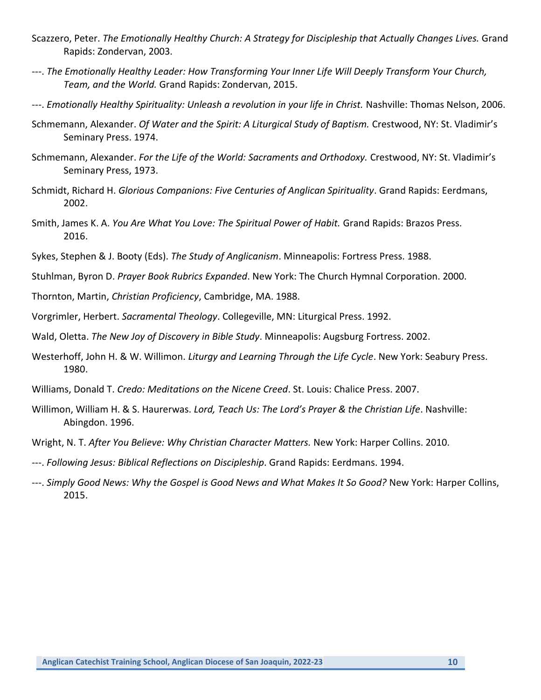- Scazzero, Peter. *The Emotionally Healthy Church: A Strategy for Discipleship that Actually Changes Lives.* Grand Rapids: Zondervan, 2003.
- ---. *The Emotionally Healthy Leader: How Transforming Your Inner Life Will Deeply Transform Your Church, Team, and the World.* Grand Rapids: Zondervan, 2015.
- ---. *Emotionally Healthy Spirituality: Unleash a revolution in your life in Christ.* Nashville: Thomas Nelson, 2006.
- Schmemann, Alexander. *Of Water and the Spirit: A Liturgical Study of Baptism.* Crestwood, NY: St. Vladimir's Seminary Press. 1974.
- Schmemann, Alexander. *For the Life of the World: Sacraments and Orthodoxy.* Crestwood, NY: St. Vladimir's Seminary Press, 1973.
- Schmidt, Richard H. *Glorious Companions: Five Centuries of Anglican Spirituality*. Grand Rapids: Eerdmans, 2002.
- Smith, James K. A. *You Are What You Love: The Spiritual Power of Habit.* Grand Rapids: Brazos Press. 2016.
- Sykes, Stephen & J. Booty (Eds). *The Study of Anglicanism*. Minneapolis: Fortress Press. 1988.
- Stuhlman, Byron D. *Prayer Book Rubrics Expanded*. New York: The Church Hymnal Corporation. 2000.
- Thornton, Martin, *Christian Proficiency*, Cambridge, MA. 1988.
- Vorgrimler, Herbert. *Sacramental Theology*. Collegeville, MN: Liturgical Press. 1992.
- Wald, Oletta. *The New Joy of Discovery in Bible Study*. Minneapolis: Augsburg Fortress. 2002.
- Westerhoff, John H. & W. Willimon. *Liturgy and Learning Through the Life Cycle*. New York: Seabury Press. 1980.
- Williams, Donald T. *Credo: Meditations on the Nicene Creed*. St. Louis: Chalice Press. 2007.
- Willimon, William H. & S. Haurerwas. *Lord, Teach Us: The Lord's Prayer & the Christian Life*. Nashville: Abingdon. 1996.
- Wright, N. T. *After You Believe: Why Christian Character Matters.* New York: Harper Collins. 2010.
- ---. *Following Jesus: Biblical Reflections on Discipleship*. Grand Rapids: Eerdmans. 1994.
- ---. *Simply Good News: Why the Gospel is Good News and What Makes It So Good?* New York: Harper Collins, 2015.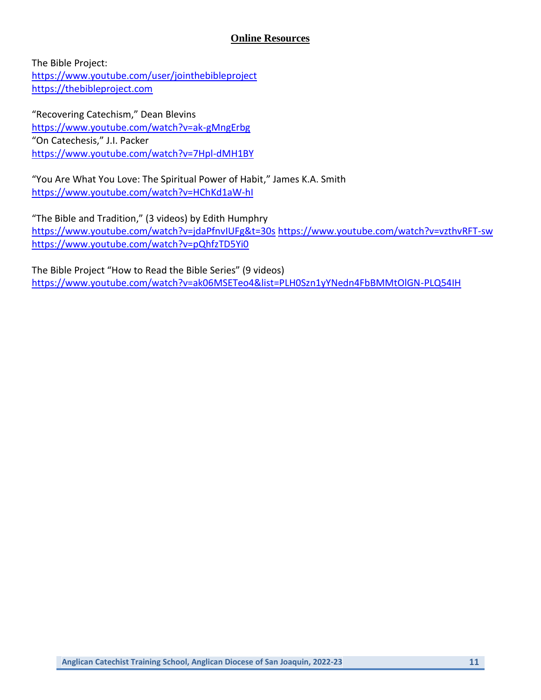## **Online Resources**

The Bible Project: <https://www.youtube.com/user/jointhebibleproject> [https://thebibleproject.com](https://thebibleproject.com/)

"Recovering Catechism," Dean Blevins <https://www.youtube.com/watch?v=ak-gMngErbg> "On Catechesis," J.I. Packer <https://www.youtube.com/watch?v=7Hpl-dMH1BY>

"You Are What You Love: The Spiritual Power of Habit," James K.A. Smith <https://www.youtube.com/watch?v=HChKd1aW-hI>

"The Bible and Tradition," (3 videos) by Edith Humphry <https://www.youtube.com/watch?v=jdaPfnvIUFg&t=30s> <https://www.youtube.com/watch?v=vzthvRFT-sw> <https://www.youtube.com/watch?v=pQhfzTD5Yi0>

The Bible Project "How to Read the Bible Series" (9 videos) <https://www.youtube.com/watch?v=ak06MSETeo4&list=PLH0Szn1yYNedn4FbBMMtOlGN-PLQ54IH>